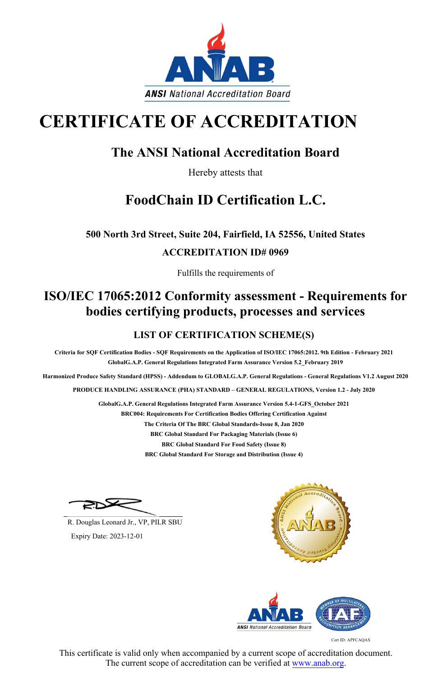Cert ID: APFCAQAS



# **CERTIFICATE OF ACCREDITATION**

### **The ANSI National Accreditation Board**

Hereby attests that

# **FoodChain ID Certification L.C.**

**500 North 3rd Street, Suite 204, Fairfield, IA 52556, United States**

#### **ACCREDITATION ID# 0969**

Fulfills the requirements of

## **ISO/IEC 17065:2012 Conformity assessment - Requirements for bodies certifying products, processes and services**

#### **LIST OF CERTIFICATION SCHEME(S)**

**Criteria for SQF Certification Bodies - SQF Requirements on the Application of ISO/IEC 17065:2012. 9th Edition - February 2021 GlobalG.A.P. General Regulations Integrated Farm Assurance Version 5.2\_February 2019**

**Harmonized Produce Safety Standard (HPSS) - Addendum to GLOBALG.A.P. General Regulations - General Regulations V1.2 August 2020**

**PRODUCE HANDLING ASSURANCE (PHA) STANDARD – GENERAL REGULATIONS, Version 1.2 - July 2020**

**GlobalG.A.P. General Regulations Integrated Farm Assurance Version 5.4-1-GFS\_October 2021**

**BRC004: Requirements For Certification Bodies Offering Certification Against**

**The Criteria Of The BRC Global Standards-Issue 8, Jan 2020**

**BRC Global Standard For Packaging Materials (Issue 6)**

**BRC Global Standard For Food Safety (Issue 8)**

**BRC Global Standard For Storage and Distribution (Issue 4)**



This certificate is valid only when accompanied by a current scope of accreditation document. The current scope of accreditation can be verified at www.anab.org.

R. Douglas Leonard Jr., VP, PILR SBU

Expiry Date: 2023-12-01